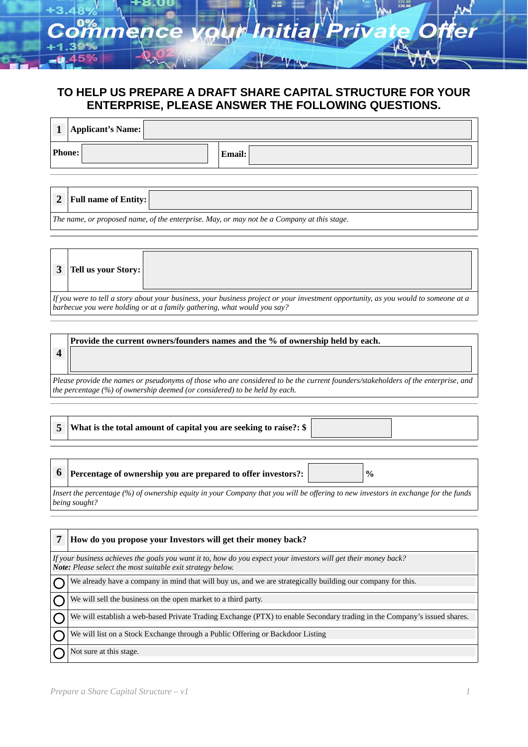# **TO HELP US PREPARE A DRAFT SHARE CAPITAL STRUCTURE FOR YOUR ENTERPRISE, PLEASE ANSWER THE FOLLOWING QUESTIONS.**

| Applicant's Name: |               |
|-------------------|---------------|
| Phone:            | <b>Email:</b> |

| $\sim$                   | Full name of Entity: $\ $ |  |               |  |  |     |  |  |  |  |
|--------------------------|---------------------------|--|---------------|--|--|-----|--|--|--|--|
| $\overline{\phantom{a}}$ |                           |  | $\sim$ $\sim$ |  |  | . . |  |  |  |  |

*The name, or proposed name, of the enterprise. May, or may not be a Company at this stage.*

| <b>3</b>   Tell us your Story: |                                                                                                                                                 |
|--------------------------------|-------------------------------------------------------------------------------------------------------------------------------------------------|
|                                | $\parallel$ If vou were to tell a story about vour business, vour business project or vour investment opportunity, as vou would to someone at a |

*If you were to tell a story about your business, your business project or your investment opportunity, as you would to someone at a barbecue you were holding or at a family gathering, what would you say?*

# **4 Provide the current owners/founders names and the % of ownership held by each.**

*Please provide the names or pseudonyms of those who are considered to be the current founders/stakeholders of the enterprise, and the percentage (%) of ownership deemed (or considered) to be held by each.*

**5 What is the total amount of capital you are seeking to raise?: \$** 

**6 Percentage of ownership you are prepared to offer investors?:**  $\vert$  **%** 

*Insert the percentage (%) of ownership equity in your Company that you will be offering to new investors in exchange for the funds being sought?*

| How do you propose your Investors will get their money back?                                                                                                                         |  |  |  |  |
|--------------------------------------------------------------------------------------------------------------------------------------------------------------------------------------|--|--|--|--|
| If your business achieves the goals you want it to, how do you expect your investors will get their money back?<br><b>Note:</b> Please select the most suitable exit strategy below. |  |  |  |  |
| We already have a company in mind that will buy us, and we are strategically building our company for this.                                                                          |  |  |  |  |
| We will sell the business on the open market to a third party.                                                                                                                       |  |  |  |  |
| We will establish a web-based Private Trading Exchange (PTX) to enable Secondary trading in the Company's issued shares.                                                             |  |  |  |  |
| We will list on a Stock Exchange through a Public Offering or Backdoor Listing                                                                                                       |  |  |  |  |
| Not sure at this stage.                                                                                                                                                              |  |  |  |  |